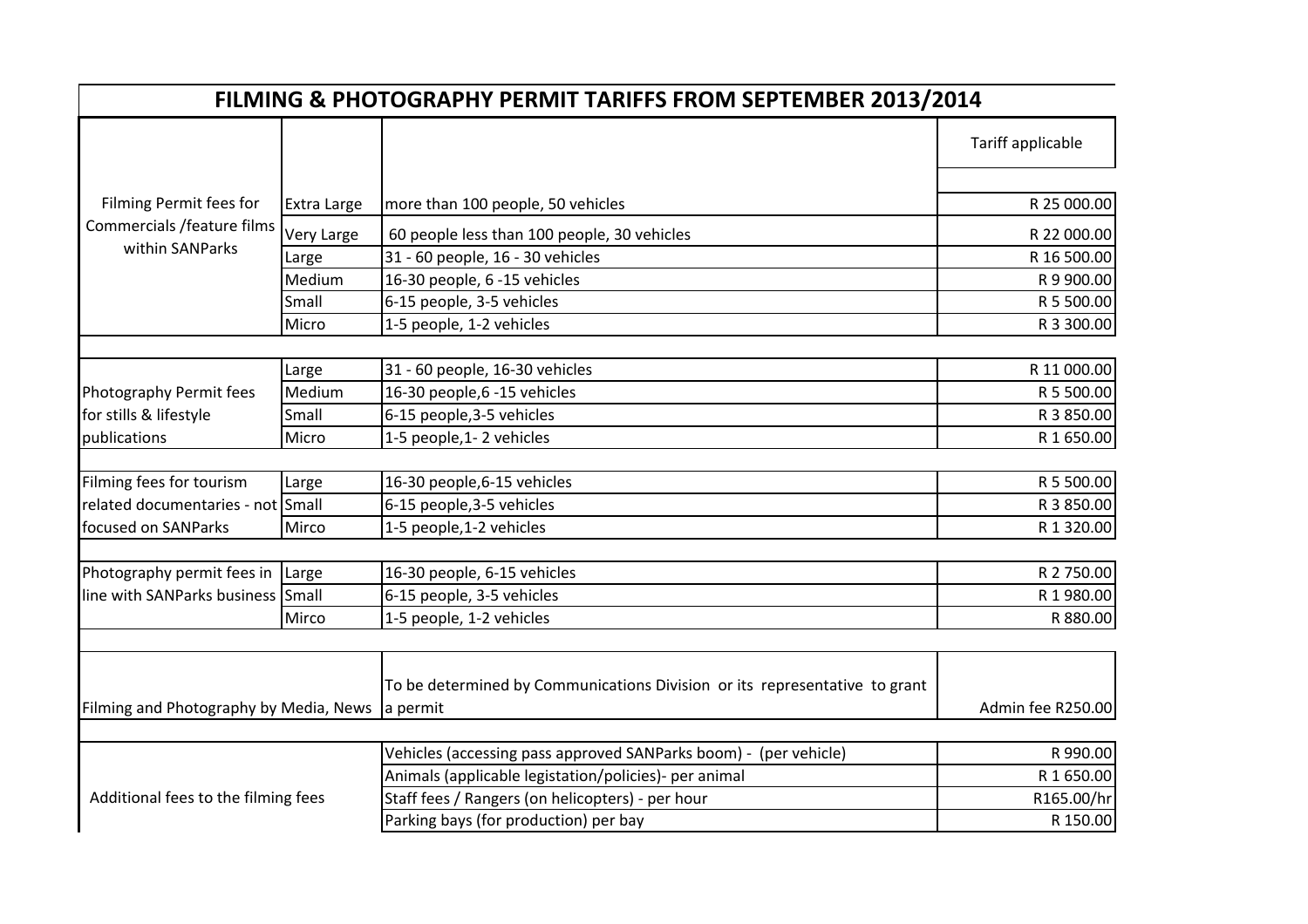| FILMING & PHOTOGRAPHY PERMIT TARIFFS FROM SEPTEMBER 2013/2014            |             |                                                                            |                   |  |
|--------------------------------------------------------------------------|-------------|----------------------------------------------------------------------------|-------------------|--|
|                                                                          |             |                                                                            | Tariff applicable |  |
| Filming Permit fees for<br>Commercials /feature films<br>within SANParks | Extra Large | more than 100 people, 50 vehicles                                          | R 25 000.00       |  |
|                                                                          | Very Large  | 60 people less than 100 people, 30 vehicles                                | R 22 000.00       |  |
|                                                                          | Large       | 31 - 60 people, 16 - 30 vehicles                                           | R 16 500.00       |  |
|                                                                          | Medium      | 16-30 people, 6 -15 vehicles                                               | R 9 900.00        |  |
|                                                                          | Small       | 6-15 people, 3-5 vehicles                                                  | R 5 500.00        |  |
|                                                                          | Micro       | 1-5 people, 1-2 vehicles                                                   | R 3 300.00        |  |
|                                                                          |             |                                                                            |                   |  |
|                                                                          | Large       | 31 - 60 people, 16-30 vehicles                                             | R 11 000.00       |  |
| Photography Permit fees                                                  | Medium      | 16-30 people,6 -15 vehicles                                                | R 5 500.00        |  |
| for stills & lifestyle                                                   | Small       | 6-15 people, 3-5 vehicles                                                  | R 3 850.00        |  |
| publications                                                             | Micro       | 1-5 people, 1-2 vehicles                                                   | R 1 650.00        |  |
|                                                                          |             |                                                                            |                   |  |
| Filming fees for tourism                                                 | Large       | 16-30 people, 6-15 vehicles                                                | R 5 500.00        |  |
| related documentaries - not Small                                        |             | 6-15 people, 3-5 vehicles                                                  | R 3 850.00        |  |
| focused on SANParks                                                      | Mirco       | 1-5 people, 1-2 vehicles                                                   | R 1 320.00        |  |
| Photography permit fees in Large<br>line with SANParks business Small    |             | 16-30 people, 6-15 vehicles                                                | R 2 750.00        |  |
|                                                                          |             | 6-15 people, 3-5 vehicles                                                  | R 1980.00         |  |
|                                                                          | Mirco       | 1-5 people, 1-2 vehicles                                                   | R 880.00          |  |
|                                                                          |             |                                                                            |                   |  |
| Filming and Photography by Media, News a permit                          |             | To be determined by Communications Division or its representative to grant | Admin fee R250.00 |  |
|                                                                          |             |                                                                            |                   |  |
|                                                                          |             | Vehicles (accessing pass approved SANParks boom) - (per vehicle)           | R 990.00          |  |
| Additional fees to the filming fees                                      |             | Animals (applicable legistation/policies)- per animal                      | R 1 650.00        |  |
|                                                                          |             | Staff fees / Rangers (on helicopters) - per hour                           | R165.00/hr        |  |
|                                                                          |             | Parking bays (for production) per bay                                      | R 150.00          |  |